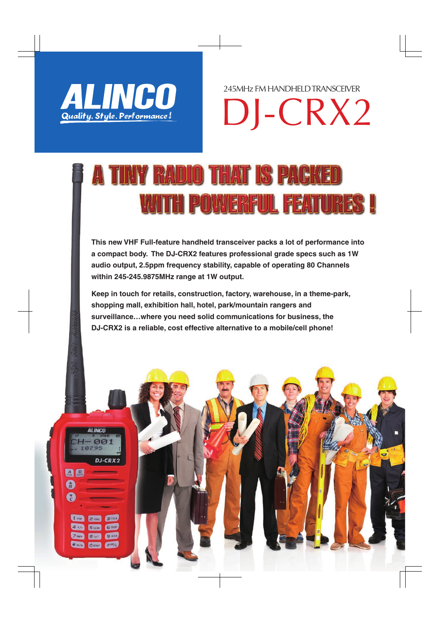

**ALINCO** 

A D

0 A DJ-CRX2

DJ-CRX2 245MHz FM HANDHELD TRANSCEIVER

## TINY RADIO THAT IS PACKED WITH POWERFUL FEATURES !

**This new VHF Full-feature handheld transceiver packs a lot of performance into a compact body. The DJ-CRX2 features professional grade specs such as 1W audio output, 2.5ppm frequency stability, capable of operating 80 Channels within 245-245.9875MHz range at 1W output.** 

**Keep in touch for retails, construction, factory, warehouse, in a theme-park, shopping mall, exhibition hall, hotel, park/mountain rangers and surveillance…where you need solid communications for business, the DJ-CRX2 is a reliable, cost effective alternative to a mobile/cell phone!**